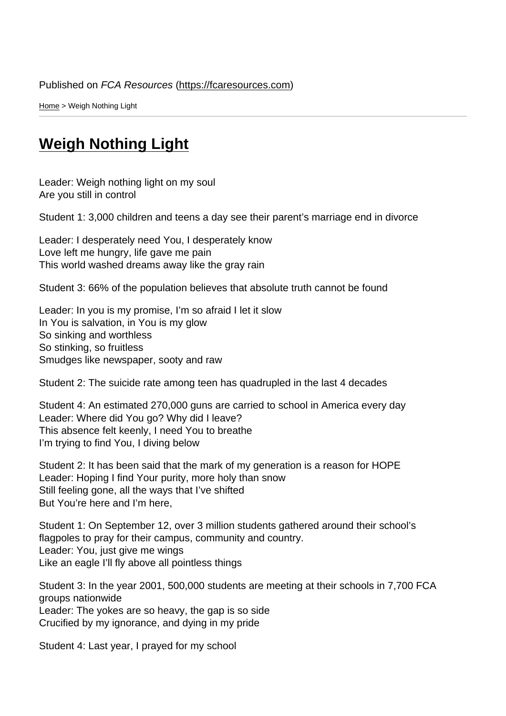Home > Weigh Nothing Light

## [We](https://fcaresources.com/)igh Nothing Light

[Leader: Weigh nothing light on m](https://fcaresources.com/skit/weigh-nothing-light)y soul Are you still in control

Student 1: 3,000 children and teens a day see their parent's marriage end in divorce

Leader: I desperately need You, I desperately know Love left me hungry, life gave me pain This world washed dreams away like the gray rain

Student 3: 66% of the population believes that absolute truth cannot be found

Leader: In you is my promise, I'm so afraid I let it slow In You is salvation, in You is my glow So sinking and worthless So stinking, so fruitless Smudges like newspaper, sooty and raw

Student 2: The suicide rate among teen has quadrupled in the last 4 decades

Student 4: An estimated 270,000 guns are carried to school in America every day Leader: Where did You go? Why did I leave? This absence felt keenly, I need You to breathe I'm trying to find You, I diving below

Student 2: It has been said that the mark of my generation is a reason for HOPE Leader: Hoping I find Your purity, more holy than snow Still feeling gone, all the ways that I've shifted But You're here and I'm here,

Student 1: On September 12, over 3 million students gathered around their school's flagpoles to pray for their campus, community and country. Leader: You, just give me wings Like an eagle I'll fly above all pointless things

Student 3: In the year 2001, 500,000 students are meeting at their schools in 7,700 FCA groups nationwide Leader: The yokes are so heavy, the gap is so side Crucified by my ignorance, and dying in my pride

Student 4: Last year, I prayed for my school